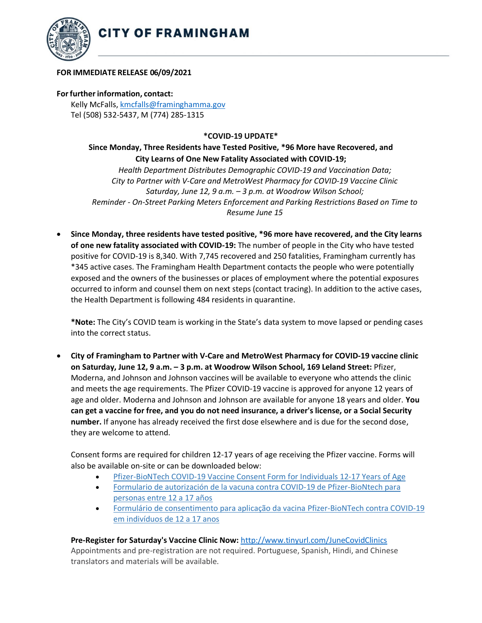

#### **FOR IMMEDIATE RELEASE 06/09/2021**

#### **Forfurtherinformation, contact:**

Kelly McFalls[, kmcfalls@framinghamma.gov](mailto:kmcfalls@framinghamma.gov) Tel (508) 532-5437, M (774) 285-1315

## **\*COVID-19 UPDATE\***

# **Since Monday, Three Residents have Tested Positive, \*96 More have Recovered, and City Learns of One New Fatality Associated with COVID-19;**

*Health Department Distributes Demographic COVID-19 and Vaccination Data; City to Partner with V-Care and MetroWest Pharmacy for COVID-19 Vaccine Clinic Saturday, June 12, 9 a.m. – 3 p.m. at Woodrow Wilson School; Reminder - On-Street Parking Meters Enforcement and Parking Restrictions Based on Time to Resume June 15*

• **Since Monday, three residents have tested positive, \*96 more have recovered, and the City learns of one new fatality associated with COVID-19:** The number of people in the City who have tested positive for COVID-19 is 8,340. With 7,745 recovered and 250 fatalities, Framingham currently has \*345 active cases. The Framingham Health Department contacts the people who were potentially exposed and the owners of the businesses or places of employment where the potential exposures occurred to inform and counsel them on next steps (contact tracing). In addition to the active cases, the Health Department is following 484 residents in quarantine.

**\*Note:** The City's COVID team is working in the State's data system to move lapsed or pending cases into the correct status.

• **City of Framingham to Partner with V-Care and MetroWest Pharmacy for COVID-19 vaccine clinic on Saturday, June 12, 9 a.m. – 3 p.m. at Woodrow Wilson School, 169 Leland Street:** Pfizer, Moderna, and Johnson and Johnson vaccines will be available to everyone who attends the clinic and meets the age requirements. The Pfizer COVID-19 vaccine is approved for anyone 12 years of age and older. Moderna and Johnson and Johnson are available for anyone 18 years and older. **You** can get a vaccine for free, and you do not need insurance, a driver's license, or a Social Security **number.** If anyone has already received the first dose elsewhere and is due for the second dose, they are welcome to attend.

Consent forms are required for children 12-17 years of age receiving the Pfizer vaccine. Forms will also be available on-site or can be downloaded below:

- [Pfizer-BioNTech](https://www.mass.gov/doc/ma-consent-form-for-individuals-under-18-years-of-age-english-5122021/download) COVID-19 Vaccine Consent Form for Individuals 12-17 Years of Age
- Formulario de autorización de la vacuna contra COVID-19 de [Pfizer-BioNtech](https://www.mass.gov/doc/ma-consent-form-for-individuals-under-18-years-of-age-spanish-51421/download) para [personas](https://www.mass.gov/doc/ma-consent-form-for-individuals-under-18-years-of-age-spanish-51421/download) entre 12 a 17 años
- Formulário de consentimento para aplicação da vacina [Pfizer-BioNTech](https://www.mass.gov/doc/ma-consent-form-for-individuals-under-18-years-of-age-portuguese-51421/download) contra COVID-19 em [indivíduos](https://www.mass.gov/doc/ma-consent-form-for-individuals-under-18-years-of-age-portuguese-51421/download) de 12 a 17 anos

### **Pre-Register for Saturday's Vaccine Clinic Now:** <http://www.tinyurl.com/JuneCovidClinics>

Appointments and pre-registration are not required. Portuguese, Spanish, Hindi, and Chinese translators and materials will be available.